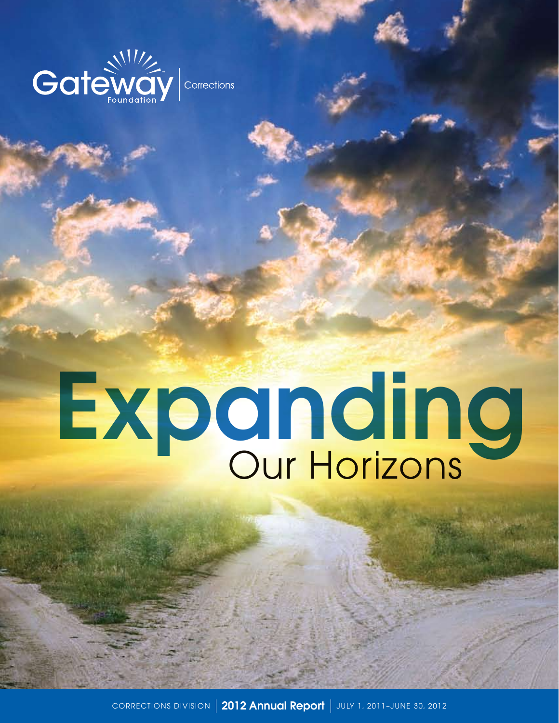

# Expanding

CORRECTIONS DIVISION | 2012 Annual Report | JULY 1, 2011-JUNE 30, 2012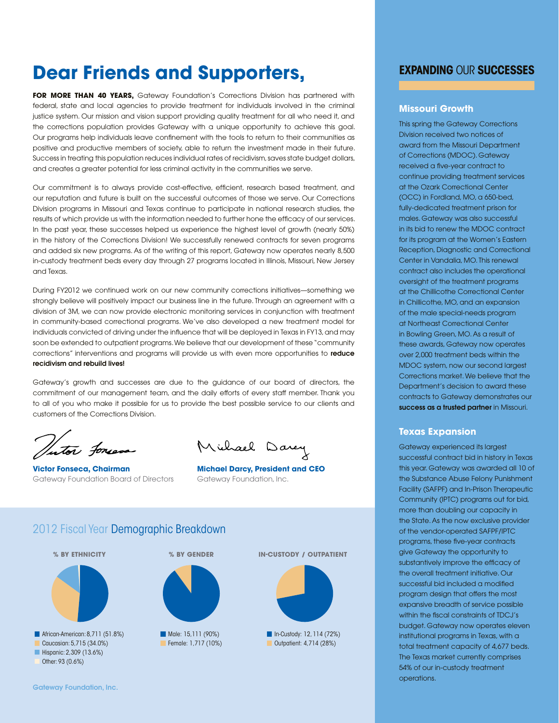# **Dear Friends and Supporters,**

**FOR MORE THAN 40 YEARS,** Gateway Foundation's Corrections Division has partnered with federal, state and local agencies to provide treatment for individuals involved in the criminal justice system. Our mission and vision support providing quality treatment for all who need it, and the corrections population provides Gateway with a unique opportunity to achieve this goal. Our programs help individuals leave confinement with the tools to return to their communities as positive and productive members of society, able to return the investment made in their future. Success in treating this population reduces individual rates of recidivism, saves state budget dollars, and creates a greater potential for less criminal activity in the communities we serve.

Our commitment is to always provide cost-effective, efficient, research based treatment, and our reputation and future is built on the successful outcomes of those we serve. Our Corrections Division programs in Missouri and Texas continue to participate in national research studies, the results of which provide us with the information needed to further hone the efficacy of our services. In the past year, these successes helped us experience the highest level of growth (nearly 50%) in the history of the Corrections Division! We successfully renewed contracts for seven programs and added six new programs. As of the writing of this report, Gateway now operates nearly 8,500 in-custody treatment beds every day through 27 programs located in Illinois, Missouri, New Jersey and Texas.

During FY2012 we continued work on our new community corrections initiatives—something we strongly believe will positively impact our business line in the future. Through an agreement with a division of 3M, we can now provide electronic monitoring services in conjunction with treatment in community-based correctional programs. We've also developed a new treatment model for individuals convicted of driving under the influence that will be deployed in Texas in FY13, and may soon be extended to outpatient programs. We believe that our development of these "community corrections" interventions and programs will provide us with even more opportunities to reduce recidivism and rebuild lives!

Gateway's growth and successes are due to the guidance of our board of directors, the commitment of our management team, and the daily efforts of every staff member. Thank you to all of you who make it possible for us to provide the best possible service to our clients and customers of the Corrections Division.

Vitor forces

**Victor Fonseca, Chairman Michael Darcy, President and CEO** Gateway Foundation Board of Directors Gateway Foundation, Inc.

Michael Darcy

# 2012 Fiscal Year Demographic Breakdown



# **Expanding** Our **Successes**

#### **Missouri Growth**

This spring the Gateway Corrections Division received two notices of award from the Missouri Department of Corrections (MDOC). Gateway received a five-year contract to continue providing treatment services at the Ozark Correctional Center (OCC) in Fordland, MO, a 650-bed, fully-dedicated treatment prison for males. Gateway was also successful in its bid to renew the MDOC contract for its program at the Women's Eastern Reception, Diagnostic and Correctional Center in Vandalia, MO. This renewal contract also includes the operational oversight of the treatment programs at the Chillicothe Correctional Center in Chillicothe, MO, and an expansion of the male special-needs program at Northeast Correctional Center in Bowling Green, MO. As a result of these awards, Gateway now operates over 2,000 treatment beds within the MDOC system, now our second largest Corrections market. We believe that the Department's decision to award these contracts to Gateway demonstrates our success as a trusted partner in Missouri.

#### **Texas Expansion**

Gateway experienced its largest successful contract bid in history in Texas this year. Gateway was awarded all 10 of the Substance Abuse Felony Punishment Facility (SAFPF) and In-Prison Therapeutic Community (IPTC) programs out for bid, more than doubling our capacity in the State. As the now exclusive provider of the vendor-operated SAFPF/IPTC programs, these five-year contracts give Gateway the opportunity to substantively improve the efficacy of the overall treatment initiative. Our successful bid included a modified program design that offers the most expansive breadth of service possible within the fiscal constraints of TDCJ's budget. Gateway now operates eleven institutional programs in Texas, with a total treatment capacity of 4,677 beds. The Texas market currently comprises 54% of our in-custody treatment operations.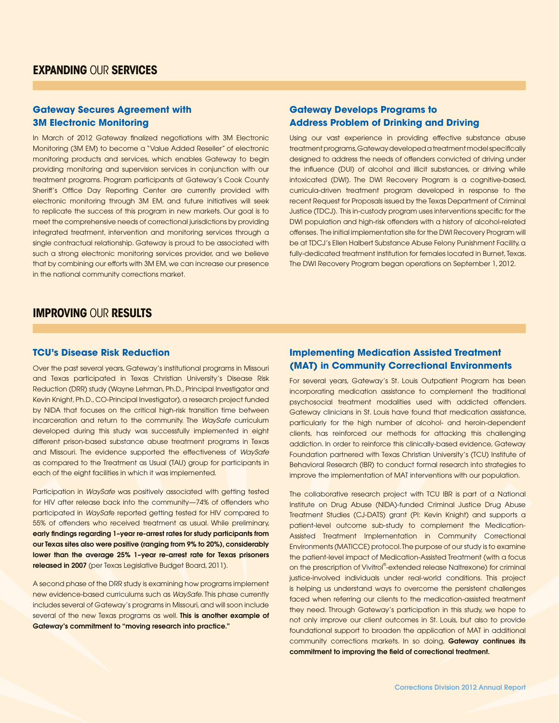## **Gateway Secures Agreement with 3M Electronic Monitoring**

In March of 2012 Gateway finalized negotiations with 3M Electronic Monitoring (3M EM) to become a "Value Added Reseller" of electronic monitoring products and services, which enables Gateway to begin providing monitoring and supervision services in conjunction with our treatment programs. Program participants at Gateway's Cook County Sheriff's Office Day Reporting Center are currently provided with electronic monitoring through 3M EM, and future initiatives will seek to replicate the success of this program in new markets. Our goal is to meet the comprehensive needs of correctional jurisdictions by providing integrated treatment, intervention and monitoring services through a single contractual relationship. Gateway is proud to be associated with such a strong electronic monitoring services provider, and we believe that by combining our efforts with 3M EM, we can increase our presence in the national community corrections market.

## **Gateway Develops Programs to Address Problem of Drinking and Driving**

Using our vast experience in providing effective substance abuse treatment programs, Gateway developed a treatment model specifically designed to address the needs of offenders convicted of driving under the influence (DUI) of alcohol and illicit substances, or driving while intoxicated (DWI). The DWI Recovery Program is a cognitive-based, curricula-driven treatment program developed in response to the recent Request for Proposals issued by the Texas Department of Criminal Justice (TDCJ). This in-custody program uses interventions specific for the DWI population and high-risk offenders with a history of alcohol-related offenses. The initial implementation site for the DWI Recovery Program will be at TDCJ's Ellen Halbert Substance Abuse Felony Punishment Facility, a fully-dedicated treatment institution for females located in Burnet, Texas. The DWI Recovery Program began operations on September 1, 2012.

# **Improving** Our **Results**

#### **TCU's Disease Risk Reduction**

Over the past several years, Gateway's institutional programs in Missouri and Texas participated in Texas Christian University's Disease Risk Reduction (DRR) study (Wayne Lehman, Ph.D., Principal Investigator and Kevin Knight, Ph.D., CO-Principal Investigator), a research project funded by NIDA that focuses on the critical high-risk transition time between incarceration and return to the community. The *WaySafe* curriculum developed during this study was successfully implemented in eight different prison-based substance abuse treatment programs in Texas and Missouri. The evidence supported the effectiveness of *WaySafe* as compared to the Treatment as Usual (TAU) group for participants in each of the eight facilities in which it was implemented.

Participation in *WaySafe* was positively associated with getting tested for HIV after release back into the community—74% of offenders who participated in *WaySaf*e reported getting tested for HIV compared to 55% of offenders who received treatment as usual. While preliminary, early findings regarding 1–year re-arrest rates for study participants from our Texas sites also were positive (ranging from 9% to 20%), considerably lower than the average 25% 1–year re-arrest rate for Texas prisoners released in 2007 (per Texas Legislative Budget Board, 2011).

A second phase of the DRR study is examining how programs implement new evidence-based curriculums such as *WaySafe*. This phase currently includes several of Gateway's programs in Missouri, and will soon include several of the new Texas programs as well. This is another example of Gateway's commitment to "moving research into practice."

## **Implementing Medication Assisted Treatment (MAT) in Community Correctional Environments**

For several years, Gateway's St. Louis Outpatient Program has been incorporating medication assistance to complement the traditional psychosocial treatment modalities used with addicted offenders. Gateway clinicians in St. Louis have found that medication assistance, particularly for the high number of alcohol- and heroin-dependent clients, has reinforced our methods for attacking this challenging addiction. In order to reinforce this clinically-based evidence, Gateway Foundation partnered with Texas Christian University's (TCU) Institute of Behavioral Research (IBR) to conduct formal research into strategies to improve the implementation of MAT interventions with our population.

The collaborative research project with TCU IBR is part of a National Institute on Drug Abuse (NIDA)-funded Criminal Justice Drug Abuse Treatment Studies (CJ-DATS) grant (PI: Kevin Knight) and supports a patient-level outcome sub-study to complement the Medication-Assisted Treatment Implementation in Community Correctional Environments (MATICCE) protocol. The purpose of our study is to examine the patient-level impact of Medication-Assisted Treatment (with a focus on the prescription of Vivitrol®-extended release Naltrexone) for criminal justice-involved individuals under real-world conditions. This project is helping us understand ways to overcome the persistent challenges faced when referring our clients to the medication-assisted treatment they need. Through Gateway's participation in this study, we hope to not only improve our client outcomes in St. Louis, but also to provide foundational support to broaden the application of MAT in additional community corrections markets. In so doing, Gateway continues its commitment to improving the field of correctional treatment.